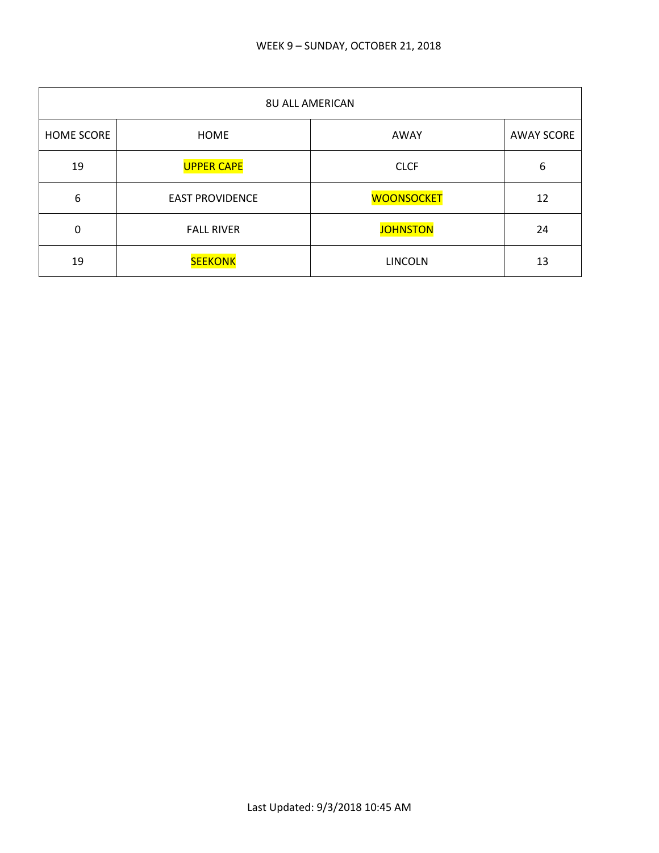| <b>8U ALL AMERICAN</b> |                        |                   |                   |
|------------------------|------------------------|-------------------|-------------------|
| <b>HOME SCORE</b>      | <b>HOME</b>            | AWAY              | <b>AWAY SCORE</b> |
| 19                     | <b>UPPER CAPE</b>      | <b>CLCF</b>       | 6                 |
| 6                      | <b>EAST PROVIDENCE</b> | <b>WOONSOCKET</b> | 12                |
| 0                      | <b>FALL RIVER</b>      | <b>JOHNSTON</b>   | 24                |
| 19                     | <b>SEEKONK</b>         | <b>LINCOLN</b>    | 13                |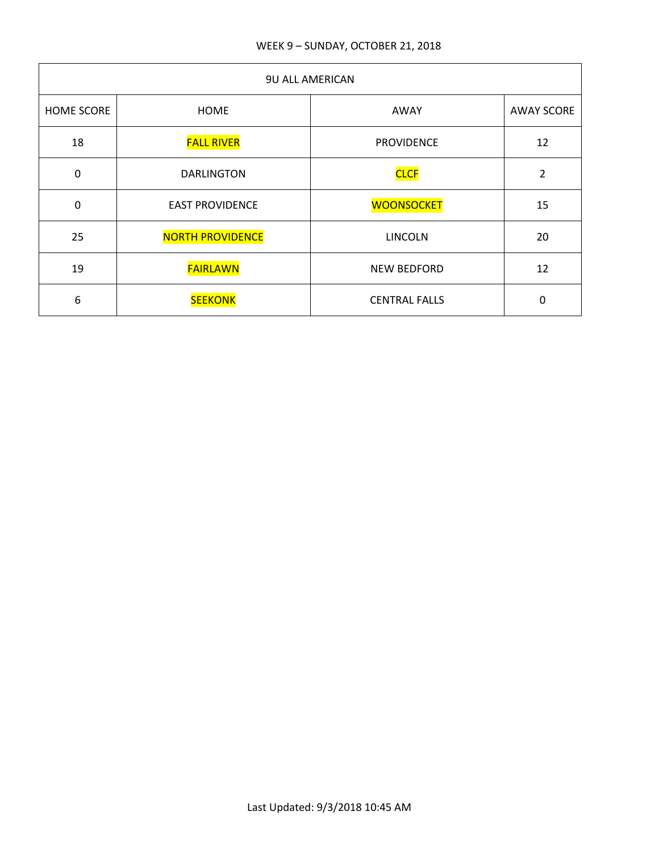| <b>9U ALL AMERICAN</b> |                         |                      |                   |
|------------------------|-------------------------|----------------------|-------------------|
| <b>HOME SCORE</b>      | <b>HOME</b>             | AWAY                 | <b>AWAY SCORE</b> |
| 18                     | <b>FALL RIVER</b>       | <b>PROVIDENCE</b>    | 12                |
| $\mathbf 0$            | <b>DARLINGTON</b>       | <b>CLCF</b>          | $\overline{2}$    |
| 0                      | <b>EAST PROVIDENCE</b>  | <b>WOONSOCKET</b>    | 15                |
| 25                     | <b>NORTH PROVIDENCE</b> | <b>LINCOLN</b>       | 20                |
| 19                     | <b>FAIRLAWN</b>         | <b>NEW BEDFORD</b>   | 12                |
| 6                      | <b>SEEKONK</b>          | <b>CENTRAL FALLS</b> | 0                 |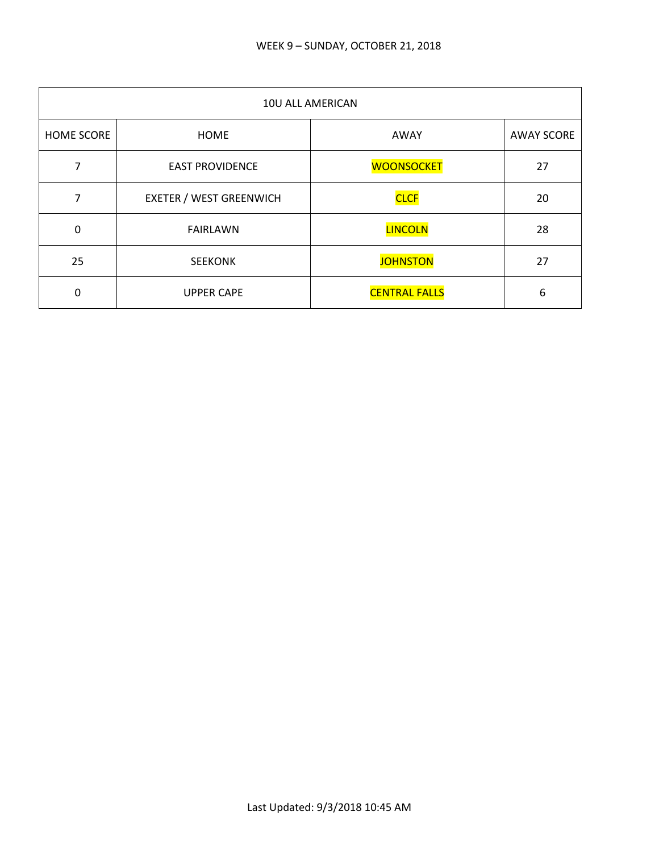| 10U ALL AMERICAN  |                                |                      |                   |
|-------------------|--------------------------------|----------------------|-------------------|
| <b>HOME SCORE</b> | <b>HOME</b>                    | AWAY                 | <b>AWAY SCORE</b> |
| 7                 | <b>EAST PROVIDENCE</b>         | <b>WOONSOCKET</b>    | 27                |
| 7                 | <b>EXETER / WEST GREENWICH</b> | <b>CLCF</b>          | 20                |
| $\mathbf 0$       | <b>FAIRLAWN</b>                | <b>LINCOLN</b>       | 28                |
| 25                | <b>SEEKONK</b>                 | <b>JOHNSTON</b>      | 27                |
| 0                 | <b>UPPER CAPE</b>              | <b>CENTRAL FALLS</b> | 6                 |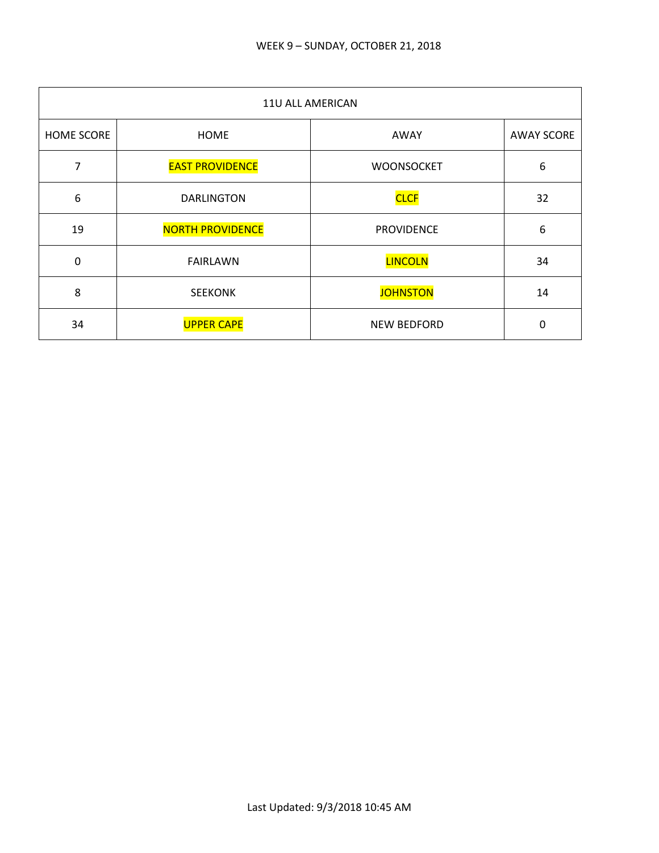| 11U ALL AMERICAN |                         |                    |                   |
|------------------|-------------------------|--------------------|-------------------|
| HOME SCORE       | <b>HOME</b>             | AWAY               | <b>AWAY SCORE</b> |
| 7                | <b>EAST PROVIDENCE</b>  | <b>WOONSOCKET</b>  | 6                 |
| 6                | <b>DARLINGTON</b>       | <b>CLCF</b>        | 32                |
| 19               | <b>NORTH PROVIDENCE</b> | <b>PROVIDENCE</b>  | 6                 |
| $\mathbf 0$      | <b>FAIRLAWN</b>         | <b>LINCOLN</b>     | 34                |
| 8                | <b>SEEKONK</b>          | <b>JOHNSTON</b>    | 14                |
| 34               | <b>UPPER CAPE</b>       | <b>NEW BEDFORD</b> | 0                 |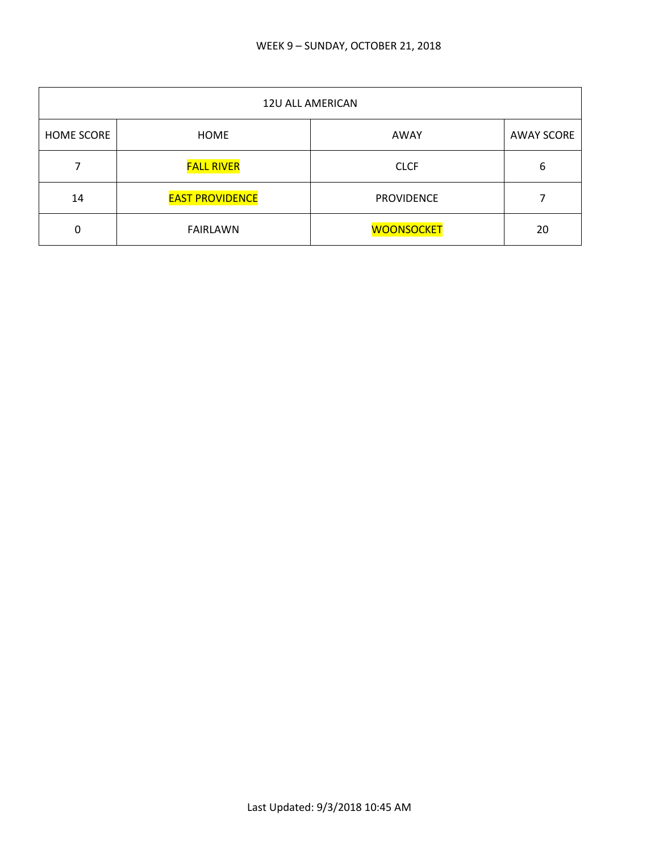| 12U ALL AMERICAN  |                        |                   |                   |
|-------------------|------------------------|-------------------|-------------------|
| <b>HOME SCORE</b> | HOME                   | AWAY              | <b>AWAY SCORE</b> |
|                   | <b>FALL RIVER</b>      | <b>CLCF</b>       | 6                 |
| 14                | <b>EAST PROVIDENCE</b> | <b>PROVIDENCE</b> |                   |
| 0                 | <b>FAIRLAWN</b>        | <b>WOONSOCKET</b> | 20                |